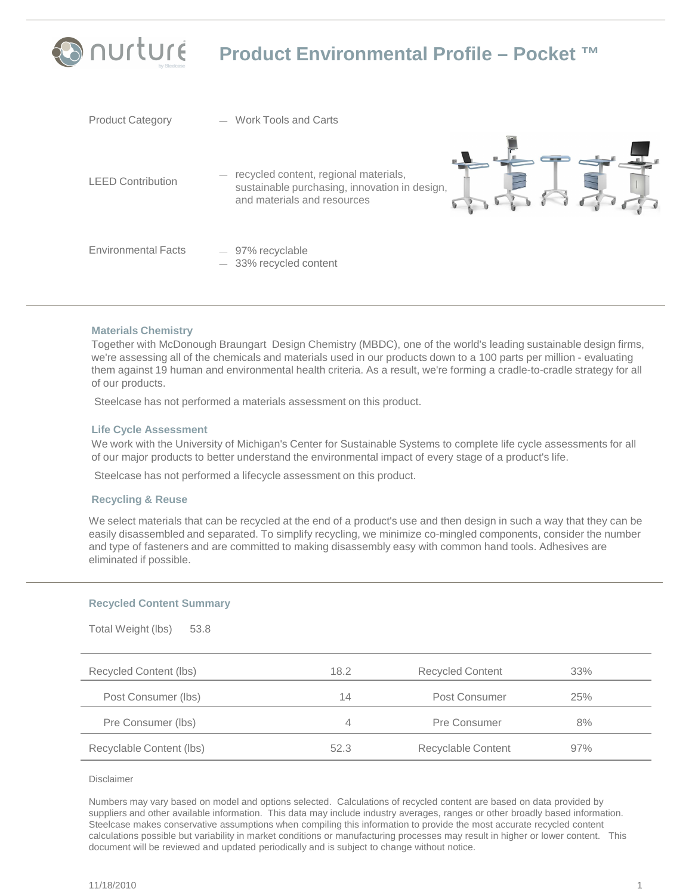# **PO ∩UrtUre Product Environmental Profile – Pocket ™**

| <b>Product Category</b>    | <b>Work Tools and Carts</b>                                                                                           |
|----------------------------|-----------------------------------------------------------------------------------------------------------------------|
| <b>LEED Contribution</b>   | recycled content, regional materials,<br>sustainable purchasing, innovation in design,<br>and materials and resources |
| <b>Environmental Facts</b> | $-97%$ recyclable<br>$-$ 33% recycled content                                                                         |

### **Materials Chemistry**

Together with McDonough Braungart Design Chemistry (MBDC), one of the world's leading sustainable design firms, we're assessing all of the chemicals and materials used in our products down to a 100 parts per million - evaluating them against 19 human and environmental health criteria. As a result, we're forming a cradle-to-cradle strategy for all of our products.

Steelcase has not performed a materials assessment on this product.

### **Life Cycle Assessment**

We work with the University of Michigan's Center for Sustainable Systems to complete life cycle assessments for all of our major products to better understand the environmental impact of every stage of a product's life.

Steelcase has not performed a lifecycle assessment on this product.

### **Recycling & Reuse**

We select materials that can be recycled at the end of a product's use and then design in such a way that they can be easily disassembled and separated. To simplify recycling, we minimize co-mingled components, consider the number and type of fasteners and are committed to making disassembly easy with common hand tools. Adhesives are eliminated if possible.

### **Recycled Content Summary**

Total Weight (lbs) 53.8

| $1$ ULCIT $88$ ULCITE (1007<br> |      |                         |     |  |
|---------------------------------|------|-------------------------|-----|--|
| Recycled Content (lbs)          | 18.2 | <b>Recycled Content</b> | 33% |  |
| Post Consumer (lbs)             | 14   | Post Consumer           | 25% |  |
| Pre Consumer (lbs)              | 4    | Pre Consumer            | 8%  |  |
| Recyclable Content (lbs)        | 52.3 | Recyclable Content      | 97% |  |

Disclaimer

Numbers may vary based on model and options selected. Calculations of recycled content are based on data provided by suppliers and other available information. This data may include industry averages, ranges or other broadly based information. Steelcase makes conservative assumptions when compiling this information to provide the most accurate recycled content calculations possible but variability in market conditions or manufacturing processes may result in higher or lower content. This document will be reviewed and updated periodically and is subject to change without notice.